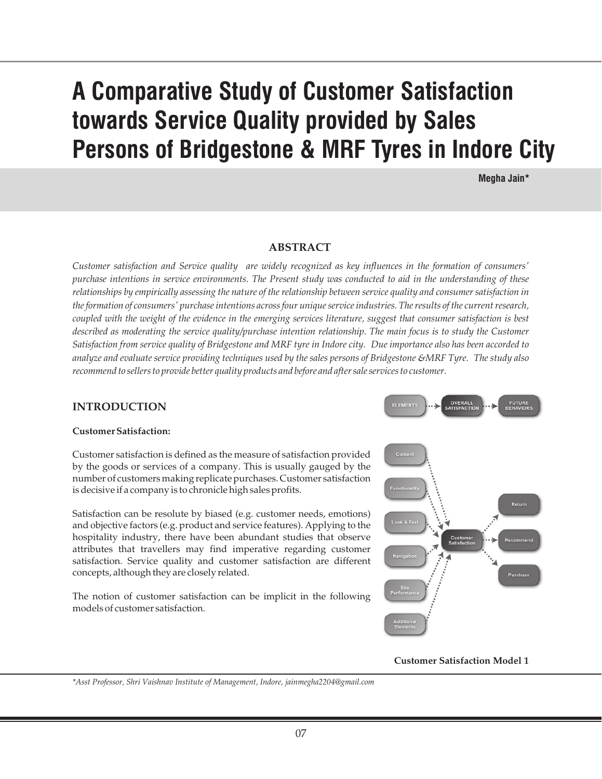# **A Comparative Study of Customer Satisfaction towards Service Quality provided by Sales Persons of Bridgestone & MRF Tyres in Indore City**

**Megha Jain\***

**FUTURE**<br>REHAVIOR

#### **ABSTRACT**

*Customer satisfaction and Service quality are widely recognized as key influences in the formation of consumers' purchase intentions in service environments. The Present study was conducted to aid in the understanding of these relationships by empirically assessing the nature of the relationship between service quality and consumer satisfaction in the formation of consumers' purchase intentions across four unique service industries. The results of the current research, coupled with the weight of the evidence in the emerging services literature, suggest that consumer satisfaction is best*  described as moderating the service quality/purchase intention relationship. The main focus is to study the Customer *Satisfaction from service quality of Bridgestone and MRF tyre in Indore city. Due importance also has been accorded to analyze and evaluate service providing techniques used by the sales persons of Bridgestone &MRF Tyre. The study also recommend to sellers to provide better quality products and before and after sale services to customer.*

#### **INTRODUCTION**

#### **Customer Satisfaction:**

Customer satisfaction is defined as the measure of satisfaction provided by the goods or services of a company. This is usually gauged by the number of customers making replicate purchases. Customer satisfaction is decisive if a company is to chronicle high sales profits.

Satisfaction can be resolute by biased (e.g. customer needs, emotions) and objective factors (e.g. product and service features). Applying to the hospitality industry, there have been abundant studies that observe attributes that travellers may find imperative regarding customer satisfaction. Service quality and customer satisfaction are different concepts, although they are closely related.

The notion of customer satisfaction can be implicit in the following models of customer satisfaction.



**Customer Satisfaction Model 1**

*\*Asst Professor, Shri Vaishnav Institute of Management, Indore, jainmegha2204@gmail.com*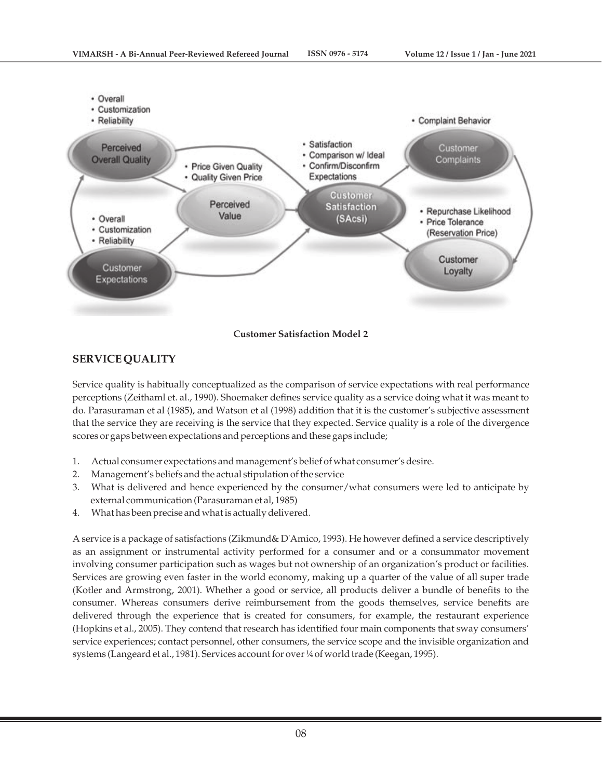

## **Customer Satisfaction Model 2**

## **SERVICE QUALITY**

Service quality is habitually conceptualized as the comparison of service expectations with real performance perceptions (Zeithaml et. al., 1990). Shoemaker defines service quality as a service doing what it was meant to do. Parasuraman et al (1985), and Watson et al (1998) addition that it is the customer's subjective assessment that the service they are receiving is the service that they expected. Service quality is a role of the divergence scores or gaps between expectations and perceptions and these gaps include;

- 1. Actual consumer expectations and management's belief of what consumer's desire.
- 2. Management's beliefs and the actual stipulation of the service
- 3. What is delivered and hence experienced by the consumer/what consumers were led to anticipate by external communication (Parasuraman et al, 1985)
- 4. What has been precise and what is actually delivered.

A service is a package of satisfactions (Zikmund& D'Amico, 1993). He however defined a service descriptively as an assignment or instrumental activity performed for a consumer and or a consummator movement involving consumer participation such as wages but not ownership of an organization's product or facilities. Services are growing even faster in the world economy, making up a quarter of the value of all super trade (Kotler and Armstrong, 2001). Whether a good or service, all products deliver a bundle of benefits to the consumer. Whereas consumers derive reimbursement from the goods themselves, service benefits are delivered through the experience that is created for consumers, for example, the restaurant experience (Hopkins et al., 2005). They contend that research has identified four main components that sway consumers' service experiences; contact personnel, other consumers, the service scope and the invisible organization and systems (Langeard et al., 1981). Services account for over ¼ of world trade (Keegan, 1995).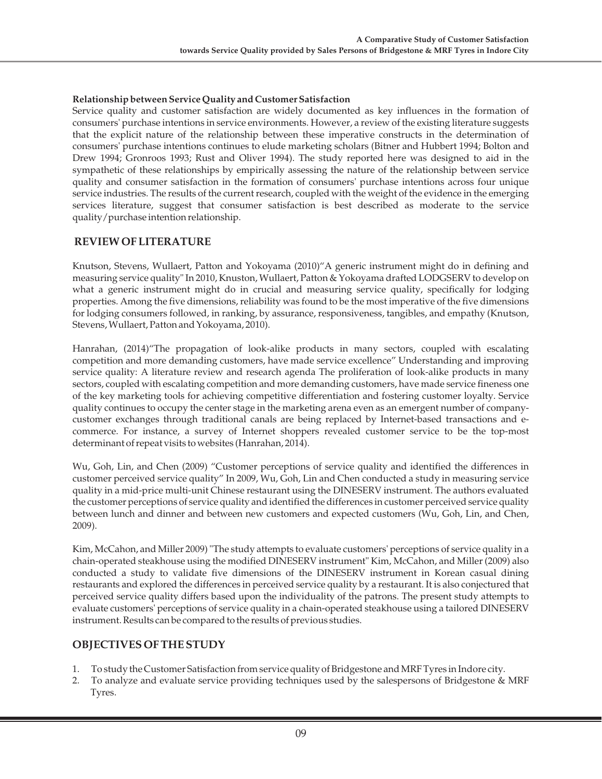#### **Relationship between Service Quality and Customer Satisfaction**

Service quality and customer satisfaction are widely documented as key influences in the formation of consumers' purchase intentions in service environments. However, a review of the existing literature suggests that the explicit nature of the relationship between these imperative constructs in the determination of consumers' purchase intentions continues to elude marketing scholars (Bitner and Hubbert 1994; Bolton and Drew 1994; Gronroos 1993; Rust and Oliver 1994). The study reported here was designed to aid in the sympathetic of these relationships by empirically assessing the nature of the relationship between service quality and consumer satisfaction in the formation of consumers' purchase intentions across four unique service industries. The results of the current research, coupled with the weight of the evidence in the emerging services literature, suggest that consumer satisfaction is best described as moderate to the service quality/purchase intention relationship.

## **REVIEW OF LITERATURE**

Knutson, Stevens, Wullaert, Patton and Yokoyama (2010)"A generic instrument might do in defining and measuring service quality" In 2010, Knuston, Wullaert, Patton & Yokoyama drafted LODGSERV to develop on what a generic instrument might do in crucial and measuring service quality, specifically for lodging properties. Among the five dimensions, reliability was found to be the most imperative of the five dimensions for lodging consumers followed, in ranking, by assurance, responsiveness, tangibles, and empathy (Knutson, Stevens, Wullaert, Patton and Yokoyama, 2010).

Hanrahan, (2014)"The propagation of look-alike products in many sectors, coupled with escalating competition and more demanding customers, have made service excellence" Understanding and improving service quality: A literature review and research agenda The proliferation of look-alike products in many sectors, coupled with escalating competition and more demanding customers, have made service fineness one of the key marketing tools for achieving competitive differentiation and fostering customer loyalty. Service quality continues to occupy the center stage in the marketing arena even as an emergent number of companycustomer exchanges through traditional canals are being replaced by Internet-based transactions and ecommerce. For instance, a survey of Internet shoppers revealed customer service to be the top-most determinant of repeat visits to websites (Hanrahan, 2014).

Wu, Goh, Lin, and Chen (2009) "Customer perceptions of service quality and identified the differences in customer perceived service quality" In 2009, Wu, Goh, Lin and Chen conducted a study in measuring service quality in a mid-price multi-unit Chinese restaurant using the DINESERV instrument. The authors evaluated the customer perceptions of service quality and identified the differences in customer perceived service quality between lunch and dinner and between new customers and expected customers (Wu, Goh, Lin, and Chen, 2009).

Kim, McCahon, and Miller 2009) "The study attempts to evaluate customers' perceptions of service quality in a chain-operated steakhouse using the modified DINESERV instrument" Kim, McCahon, and Miller (2009) also conducted a study to validate five dimensions of the DINESERV instrument in Korean casual dining restaurants and explored the differences in perceived service quality by a restaurant. It is also conjectured that perceived service quality differs based upon the individuality of the patrons. The present study attempts to evaluate customers' perceptions of service quality in a chain-operated steakhouse using a tailored DINESERV instrument. Results can be compared to the results of previous studies.

### **OBJECTIVES OF THE STUDY**

- 1. To study the Customer Satisfaction from service quality of Bridgestone and MRF Tyres in Indore city.
- 2. To analyze and evaluate service providing techniques used by the salespersons of Bridgestone & MRF Tyres.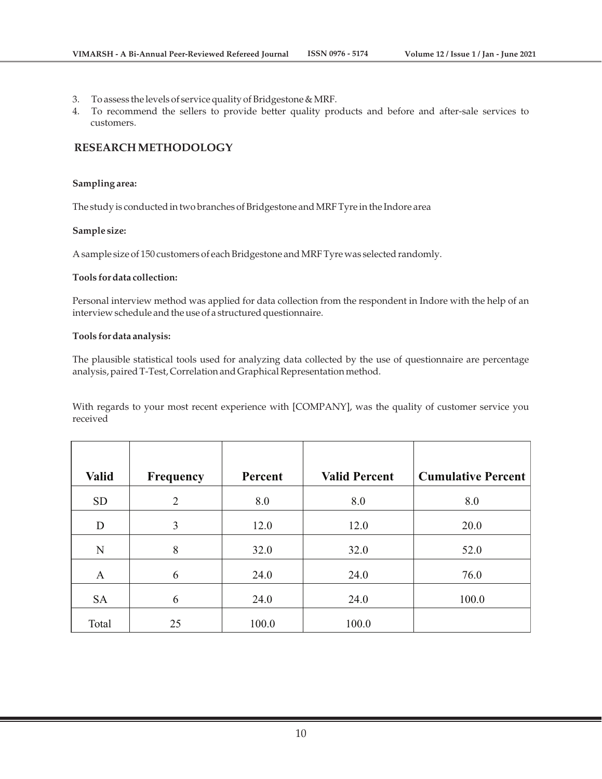- 3. To assess the levels of service quality of Bridgestone & MRF.
- 4. To recommend the sellers to provide better quality products and before and after-sale services to customers.

### **RESEARCH METHODOLOGY**

#### **Sampling area:**

The study is conducted in two branches of Bridgestone and MRF Tyre in the Indore area

#### **Sample size:**

A sample size of 150 customers of each Bridgestone and MRF Tyre was selected randomly.

#### **Tools for data collection:**

Personal interview method was applied for data collection from the respondent in Indore with the help of an interview schedule and the use of a structured questionnaire.

#### **Tools for data analysis:**

The plausible statistical tools used for analyzing data collected by the use of questionnaire are percentage analysis, paired T-Test, Correlation and Graphical Representation method.

With regards to your most recent experience with [COMPANY], was the quality of customer service you received

| <b>Valid</b> | <b>Frequency</b> | Percent | <b>Valid Percent</b> | <b>Cumulative Percent</b> |
|--------------|------------------|---------|----------------------|---------------------------|
|              |                  |         |                      |                           |
| <b>SD</b>    | $\overline{2}$   | 8.0     | 8.0                  | 8.0                       |
| D            | 3                | 12.0    | 12.0                 | 20.0                      |
| N            | 8                | 32.0    | 32.0                 | 52.0                      |
| A            | 6                | 24.0    | 24.0                 | 76.0                      |
| <b>SA</b>    | 6                | 24.0    | 24.0                 | 100.0                     |
| Total        | 25               | 100.0   | 100.0                |                           |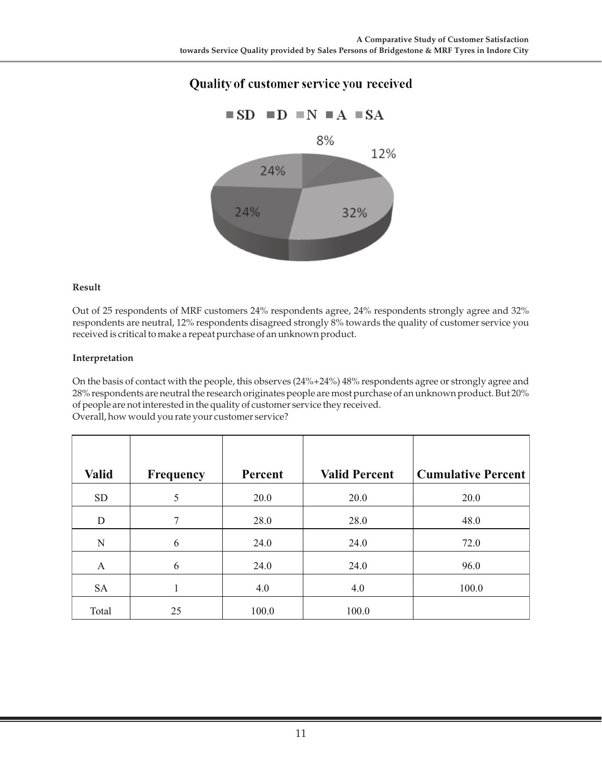## Quality of customer service you received



#### **Result**

Out of 25 respondents of MRF customers 24% respondents agree, 24% respondents strongly agree and 32% respondents are neutral, 12% respondents disagreed strongly 8% towards the quality of customer service you received is critical to make a repeat purchase of an unknown product.

#### **Interpretation**

On the basis of contact with the people, this observes (24%+24%) 48% respondents agree or strongly agree and 28% respondents are neutral the research originates people are most purchase of an unknown product. But 20% of people are not interested in the quality of customer service they received. Overall, how would you rate your customer service?

| <b>Valid</b> | <b>Frequency</b> | Percent | <b>Valid Percent</b> | <b>Cumulative Percent</b> |
|--------------|------------------|---------|----------------------|---------------------------|
| <b>SD</b>    | 5                | 20.0    | 20.0                 | 20.0                      |
| D            | $\overline{7}$   | 28.0    | 28.0                 | 48.0                      |
| N            | 6                | 24.0    | 24.0                 | 72.0                      |
| A            | 6                | 24.0    | 24.0                 | 96.0                      |
| <b>SA</b>    |                  | 4.0     | 4.0                  | 100.0                     |
| Total        | 25               | 100.0   | 100.0                |                           |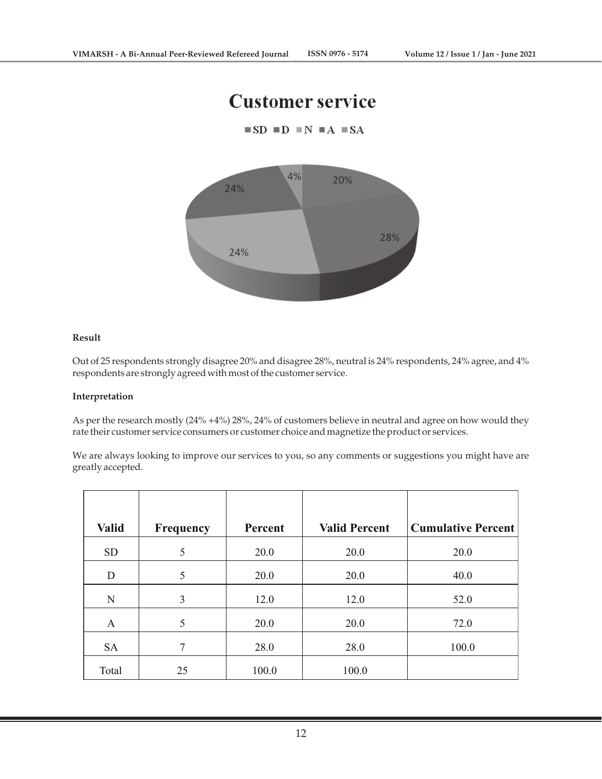## **Customer service**





#### **Result**

Out of 25 respondents strongly disagree 20% and disagree 28%, neutral is 24% respondents, 24% agree, and 4% respondents are strongly agreed with most of the customer service.

#### **Interpretation**

As per the research mostly (24% +4%) 28%, 24% of customers believe in neutral and agree on how would they rate their customer service consumers or customer choice and magnetize the product or services.

We are always looking to improve our services to you, so any comments or suggestions you might have are greatly accepted.

| <b>Valid</b> | <b>Frequency</b> | Percent | <b>Valid Percent</b> | <b>Cumulative Percent</b> |
|--------------|------------------|---------|----------------------|---------------------------|
| <b>SD</b>    | 5                | 20.0    | 20.0                 | 20.0                      |
| D            | 5                | 20.0    | 20.0                 | 40.0                      |
| N            | $\overline{3}$   | 12.0    | 12.0                 | 52.0                      |
| A            | 5                | 20.0    | 20.0                 | 72.0                      |
| <b>SA</b>    | 7                | 28.0    | 28.0                 | 100.0                     |
| Total        | 25               | 100.0   | 100.0                |                           |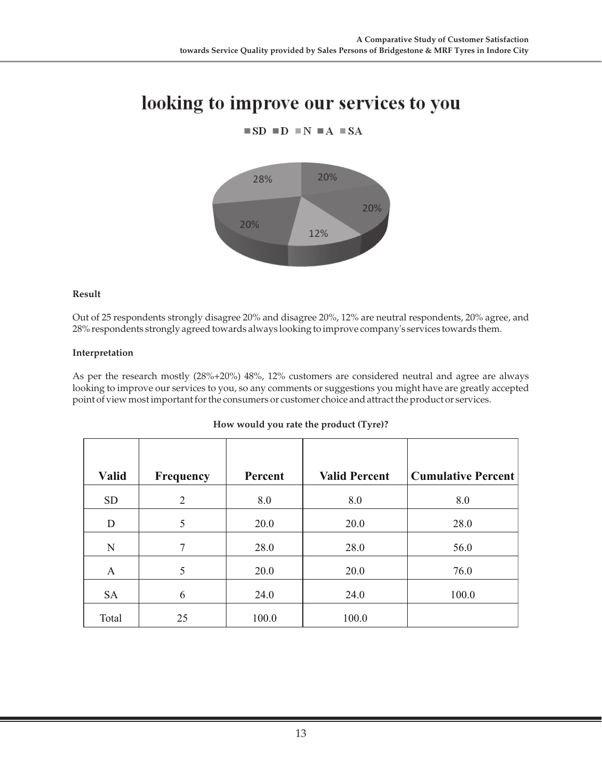## looking to improve our services to you

 $\blacksquare$  SD  $\blacksquare$  D  $\blacksquare$  N  $\blacksquare$  A  $\blacksquare$  SA



**Result**

Out of 25 respondents strongly disagree 20% and disagree 20%, 12% are neutral respondents, 20% agree, and 28% respondents strongly agreed towards always looking to improve company's services towards them.

#### **Interpretation**

As per the research mostly (28%+20%) 48%, 12% customers are considered neutral and agree are always looking to improve our services to you, so any comments or suggestions you might have are greatly accepted point of view most important for the consumers or customer choice and attract the product or services.

| <b>Valid</b> | <b>Frequency</b> | Percent | <b>Valid Percent</b> | <b>Cumulative Percent</b> |
|--------------|------------------|---------|----------------------|---------------------------|
| <b>SD</b>    | 2                | 8.0     | 8.0                  | 8.0                       |
| D            | 5                | 20.0    | 20.0                 | 28.0                      |
| N            | 7                | 28.0    | 28.0                 | 56.0                      |
| A            | 5                | 20.0    | 20.0                 | 76.0                      |
| <b>SA</b>    | 6                | 24.0    | 24.0                 | 100.0                     |
| Total        | 25               | 100.0   | 100.0                |                           |

#### **How would you rate the product (Tyre)?**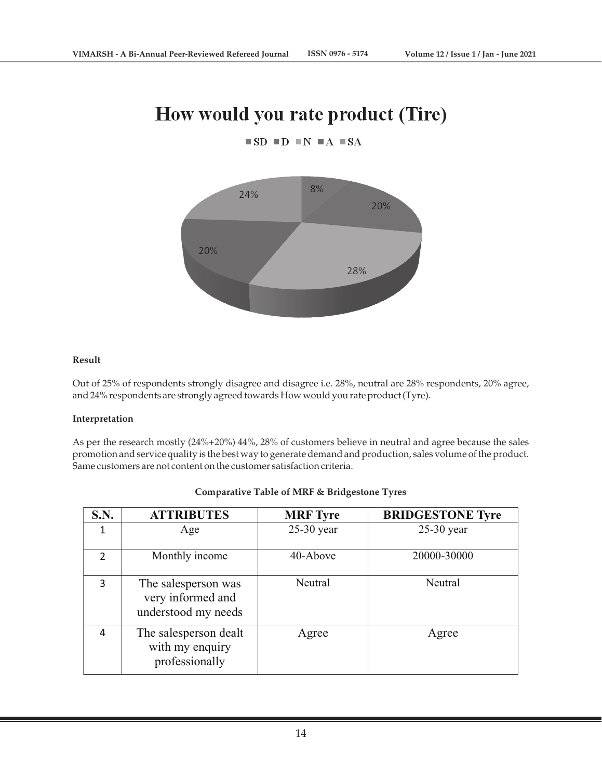## How would you rate product (Tire)

 $\blacksquare$  SD  $\blacksquare$  D  $\blacksquare$  N  $\blacksquare$  A  $\blacksquare$  SA



#### **Result**

Out of 25% of respondents strongly disagree and disagree i.e. 28%, neutral are 28% respondents, 20% agree, and 24% respondents are strongly agreed towards How would you rate product (Tyre).

#### **Interpretation**

As per the research mostly (24%+20%) 44%, 28% of customers believe in neutral and agree because the sales promotion and service quality is the best way to generate demand and production, sales volume of the product. Same customers are not content on the customer satisfaction criteria.

| <b>S.N.</b> | <b>ATTRIBUTES</b>                                               | <b>MRF</b> Tyre | <b>BRIDGESTONE Tyre</b> |
|-------------|-----------------------------------------------------------------|-----------------|-------------------------|
|             | Age                                                             | $25-30$ year    | $25-30$ year            |
| 2           | Monthly income                                                  | 40-Above        | 20000-30000             |
| 3           | The salesperson was<br>very informed and<br>understood my needs | Neutral         | Neutral                 |
| 4           | The salesperson dealt<br>with my enquiry<br>professionally      | Agree           | Agree                   |

#### **Comparative Table of MRF & Bridgestone Tyres**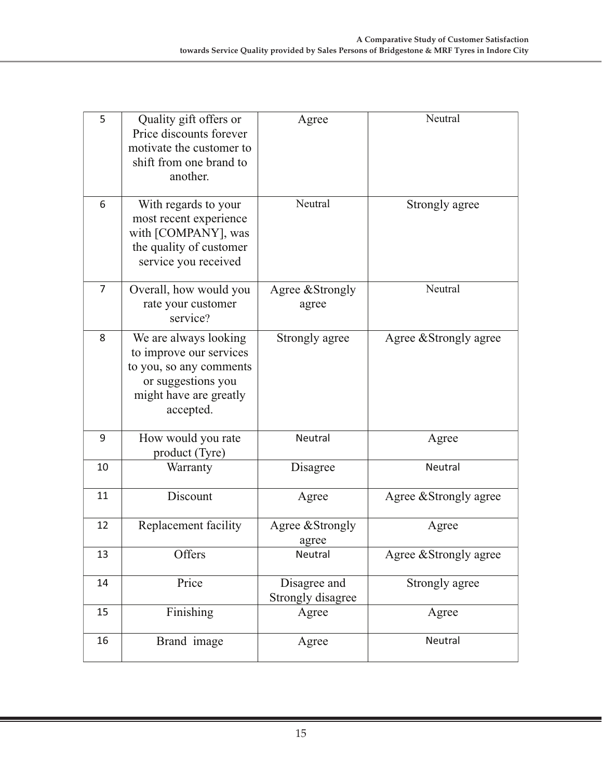| 5  | Quality gift offers or<br>Price discounts forever<br>motivate the customer to<br>shift from one brand to<br>another.                     | Agree                             | Neutral                |
|----|------------------------------------------------------------------------------------------------------------------------------------------|-----------------------------------|------------------------|
| 6  | With regards to your<br>most recent experience<br>with [COMPANY], was<br>the quality of customer<br>service you received                 | Neutral                           | Strongly agree         |
| 7  | Overall, how would you<br>rate your customer<br>service?                                                                                 | Agree & Strongly<br>agree         | Neutral                |
| 8  | We are always looking<br>to improve our services<br>to you, so any comments<br>or suggestions you<br>might have are greatly<br>accepted. | Strongly agree                    | Agree & Strongly agree |
| 9  | How would you rate<br>product (Tyre)                                                                                                     | Neutral                           | Agree                  |
| 10 | Warranty                                                                                                                                 | Disagree                          | <b>Neutral</b>         |
| 11 | Discount                                                                                                                                 | Agree                             | Agree & Strongly agree |
| 12 | Replacement facility                                                                                                                     | Agree & Strongly<br>agree         | Agree                  |
| 13 | Offers                                                                                                                                   | Neutral                           | Agree & Strongly agree |
| 14 | Price                                                                                                                                    | Disagree and<br>Strongly disagree | Strongly agree         |
| 15 | Finishing                                                                                                                                | Agree                             | Agree                  |
| 16 | Brand image                                                                                                                              | Agree                             | Neutral                |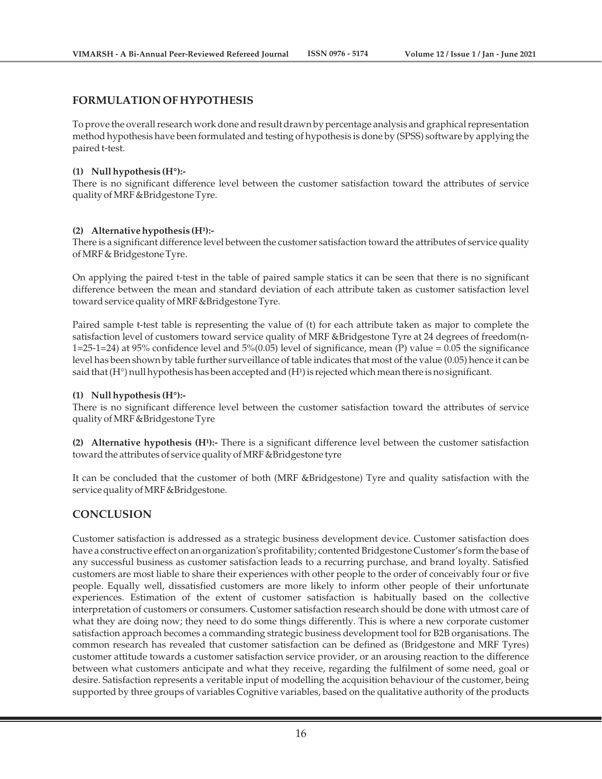#### **FORMULATION OF HYPOTHESIS**

To prove the overall research work done and result drawn by percentage analysis and graphical representation method hypothesis have been formulated and testing of hypothesis is done by (SPSS) software by applying the paired t-test.

#### **(1) Null hypothesis (H°):-**

There is no significant difference level between the customer satisfaction toward the attributes of service quality of MRF &Bridgestone Tyre.

#### (2) Alternative hypothesis (H<sup>1</sup>):-

There is a significant difference level between the customer satisfaction toward the attributes of service quality of MRF & Bridgestone Tyre.

On applying the paired t-test in the table of paired sample statics it can be seen that there is no significant difference between the mean and standard deviation of each attribute taken as customer satisfaction level toward service quality of MRF &Bridgestone Tyre.

Paired sample t-test table is representing the value of (t) for each attribute taken as major to complete the satisfaction level of customers toward service quality of MRF &Bridgestone Tyre at 24 degrees of freedom(n-1=25-1=24) at 95% confidence level and 5%(0.05) level of significance, mean (P) value = 0.05 the significance level has been shown by table further surveillance of table indicates that most of the value (0.05) hence it can be said that  $(H^{\circ})$  null hypothesis has been accepted and  $(H^1)$  is rejected which mean there is no significant.

#### **(1) Null hypothesis (H°):-**

There is no significant difference level between the customer satisfaction toward the attributes of service quality of MRF &Bridgestone Tyre

(2) Alternative hypothesis (H<sup>1</sup>):- There is a significant difference level between the customer satisfaction toward the attributes of service quality of MRF &Bridgestone tyre

It can be concluded that the customer of both (MRF &Bridgestone) Tyre and quality satisfaction with the service quality of MRF &Bridgestone.

### **CONCLUSION**

Customer satisfaction is addressed as a strategic business development device. Customer satisfaction does have a constructive effect on an organization's profitability; contented Bridgestone Customer's form the base of any successful business as customer satisfaction leads to a recurring purchase, and brand loyalty. Satisfied customers are most liable to share their experiences with other people to the order of conceivably four or five people. Equally well, dissatisfied customers are more likely to inform other people of their unfortunate experiences. Estimation of the extent of customer satisfaction is habitually based on the collective interpretation of customers or consumers. Customer satisfaction research should be done with utmost care of what they are doing now; they need to do some things differently. This is where a new corporate customer satisfaction approach becomes a commanding strategic business development tool for B2B organisations. The common research has revealed that customer satisfaction can be defined as (Bridgestone and MRF Tyres) customer attitude towards a customer satisfaction service provider, or an arousing reaction to the difference between what customers anticipate and what they receive, regarding the fulfilment of some need, goal or desire. Satisfaction represents a veritable input of modelling the acquisition behaviour of the customer, being supported by three groups of variables Cognitive variables, based on the qualitative authority of the products